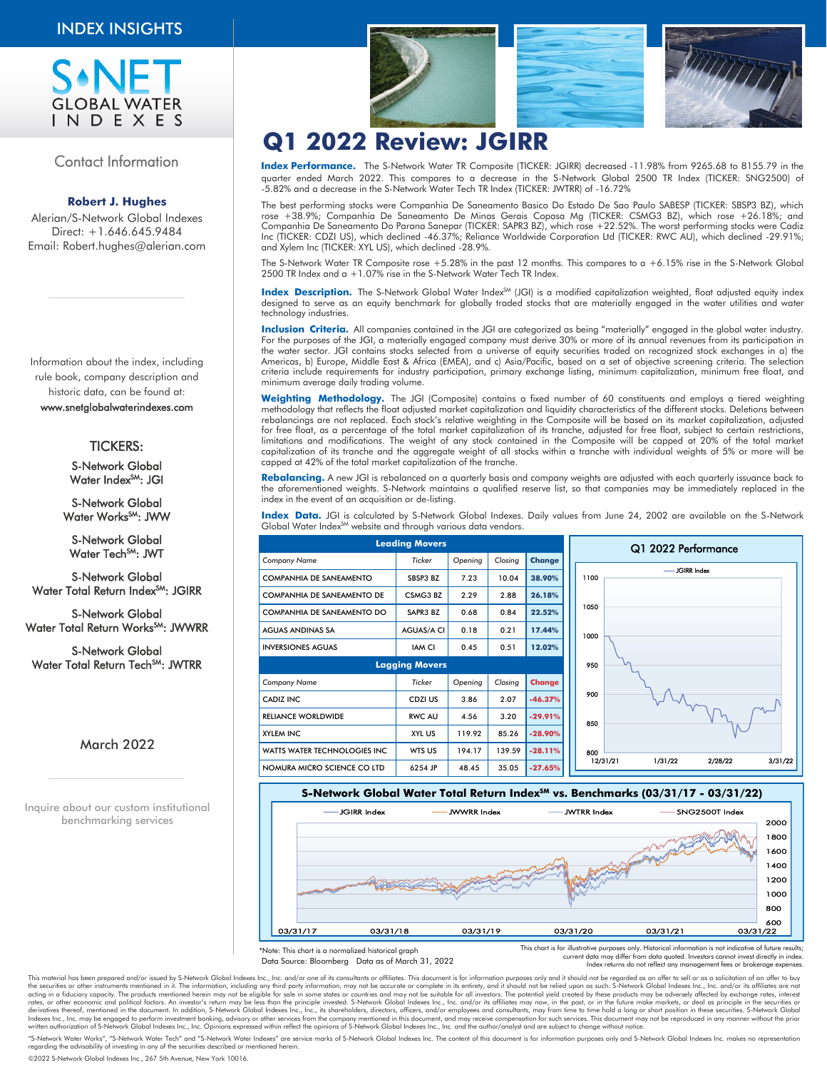

*Contact Information* 

#### **Robert J. Hughes**

*Alerian/S-Network Global Indexes Direct: +1.646.645.9484 Email: Robert.hughes@alerian.com*

*Information about the index, including rule book, company description and historic data, can be found at: www.snetglobalwaterindexes.com* 

### *TICKERS:*

*S-Network Global Water IndexSM: JGI* 

*S-Network Global Water WorksSM: JWW* 

*S-Network Global Water TechSM: JWT* 

*S-Network Global Water Total Return IndexSM: JGIRR* 

*S-Network Global Water Total Return WorksSM: JWWRR* 

*S-Network Global Water Total Return TechSM: JWTRR* 

### **March 2022**

**Inquire about our custom institutional benchmarking services**







# **Q1 2022 Review: JGIRR**

quarter ended March 2022. This compares to a decrease in the S-Network Global 2500 TR Index (TICKER: SNG2500) of *-5.82% and a decrease in the S-Network Water Tech TR Index (TICKER: JWTRR) of -16.72%* **Index Performance.** *The S-Network Water TR Composite (TICKER: JGIRR) decreased -11.98% from 9265.68 to 8155.79 in the* 

*The best performing stocks were Companhia De Saneamento Basico Do Estado De Sao Paulo SABESP (TICKER: SBSP3 BZ), which rose +38.9%; Companhia De Saneamento De Minas Gerais Copasa Mg (TICKER: CSMG3 BZ), which rose +26.18%; and Companhia De Saneamento Do Parana Sanepar (TICKER: SAPR3 BZ), which rose +22.52%. The worst performing stocks were Cadiz*  Inc (TICKER: CDZI US), which declined -46.37%; Reliance Worldwide Corporation Ltd (TICKER: RWC AU), which declined -29.91%;<br>and Xylem Inc (TICKER: XYL US), which declined -28.9%.

*The S-Network Water TR Composite rose +5.28% in the past 12 months. This compares to a +6.15% rise in the S-Network Global 2500 TR Index and a +1.07% rise in the S-Network Water Tech TR Index.*

**Index Description.** *The S-Network Global Water IndexSM (JGI) is a modified capitalization weighted, float adjusted equity index designed to serve as an equity benchmark for globally traded stocks that are materially engaged in the water utilities and water technology industries.*

**Inclusion Criteria.** *All companies contained in the JGI are categorized as being "materially" engaged in the global water industry.*  For the purposes of the JGI, a materially engaged company must derive 30% or more of its annual revenues from its participation in the water sector. JGI contains stocks selected from a universe of equity securities traded on recognized stock exchanges in a) the *Americas, b) Europe, Middle East & Africa (EMEA), and c) Asia/Pacific, based on a set of objective screening criteria. The selection criteria include requirements for industry participation, primary exchange listing, minimum capitalization, minimum free float, and minimum average daily trading volume.*

**Weighting Methodology.** The JGI (Composite) contains a fixed number of 60 constituents and employs a tiered weighting<br>methodology that reflects the float adjusted market capitalization and liquidity characteristics of the *rebalancings are not replaced. Each stock's relative weighting in the Composite will be based on its market capitalization, adjusted for free float, as a percentage of the total market capitalization of its tranche, adjusted for free float, subject to certain restrictions, limitations and modifications. The weight of any stock contained in the Composite will be capped at 20% of the total market capitalization of its tranche and the aggregate weight of all stocks within a tranche with individual weights of 5% or more will be capped at 42% of the total market capitalization of the tranche.*

**Rebalancing.** *A new JGI is rebalanced on a quarterly basis and company weights are adjusted with each quarterly issuance back to*  the aforementioned weights. S-Network maintains a qualified reserve list, so that companies may be immediately replaced in the *index in the event of an acquisition or de-listing.*

**Index Data.** JGI is calculated by S-Network Global Indexes. Daily values from June 24, 2002 are available on the S-Network<br>Global Water Index<sup>sm</sup> website and through various data vendors.

| <b>Leading Movers</b>               |                   |         |         |               | Q1 2022 Performance |                               |  |  |
|-------------------------------------|-------------------|---------|---------|---------------|---------------------|-------------------------------|--|--|
| <b>Company Name</b>                 | Ticker            | Opening | Closing | Change        |                     |                               |  |  |
| <b>COMPANHIA DE SANEAMENTO</b>      | SBSP3 BZ          | 7.23    | 10.04   | 38.90%        | 1100                | JGIRR Index                   |  |  |
| COMPANHIA DE SANEAMENTO DE          | CSMG3 BZ          | 2.29    | 2.88    | 26.18%        |                     |                               |  |  |
| <b>COMPANHIA DE SANEAMENTO DO</b>   | SAPR3 BZ          | 0.68    | 0.84    | 22.52%        | 1050                |                               |  |  |
| <b>AGUAS ANDINAS SA</b>             | <b>AGUAS/A CI</b> | 0.18    | 0.21    | 17.44%        | 1000                |                               |  |  |
| <b>INVERSIONES AGUAS</b>            | <b>IAM CI</b>     | 0.45    | 0.51    | 12.02%        |                     |                               |  |  |
| <b>Lagging Movers</b>               |                   |         |         |               | 950                 |                               |  |  |
| <b>Company Name</b>                 | Ticker            | Opening | Closing | <b>Change</b> |                     |                               |  |  |
| <b>CADIZ INC</b>                    | CDZI US           | 3.86    | 2.07    | $-46.37%$     | 900                 |                               |  |  |
| <b>RELIANCE WORLDWIDE</b>           | <b>RWC AU</b>     | 4.56    | 3.20    | $-29.91%$     | 850                 |                               |  |  |
| <b>XYLEM INC</b>                    | XYL US            | 119.92  | 85.26   | $-28.90%$     |                     |                               |  |  |
| <b>WATTS WATER TECHNOLOGIES INC</b> | <b>WTS US</b>     | 194.17  | 139.59  | $-28.11%$     | 800                 |                               |  |  |
| NOMURA MICRO SCIENCE CO LTD         | 6254 JP           | 48.45   | 35.05   | $-27.65%$     | 12/31/21            | 1/31/22<br>2/28/22<br>3/31/22 |  |  |



*\*Note: This chart is a normalized historical graph Data Source: Bloomberg Data as of March 31, 2022* *This chart is for illustrative purposes only. Historical information is not indicative of future results; current data may differ from data quoted. Investors cannot invest directly in index. Index returns do not reflect any management fees or brokerage expenses.*

This material has been prepared and/or issued by S-Network Global Indexes Inc., Inc. and/or one of its consultants or affiliates. This document is for information purposes only and it should not be regarded as an offer to derivatives thereof, mentioned in the document. In addition, S-Network Global Indexes Inc., Inc., its shareholders, directors, officers, and/or employees and consultants, may from time to time hold a long or short position Indexes Inc., Inc. may be engaged to perform investment banking, advisory or other services from the company mentioned in this document, and may receive compensation for such services. This document may not be reproduced i

"S-Network Water Works", "S-Network Water Tech" and "S-Network Water Indexes" are service marks of S-Network Global Indexes Inc. The content of this document is for information purposes only and S-Network Global Indexes In *regarding the advisability of investing in any of the securities described or mentioned herein.* 

*©2022 S-Network Global Indexes Inc., 267 5th Avenue, New York 10016.*